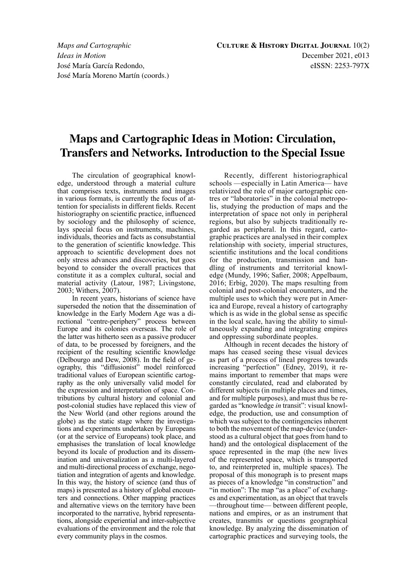## **Maps and Cartographic Ideas in Motion: Circulation, Transfers and Networks. Introduction to the Special Issue**

The circulation of geographical knowledge, understood through a material culture that comprises texts, instruments and images in various formats, is currently the focus of attention for specialists in different fields. Recent historiography on scientific practice, influenced by sociology and the philosophy of science, lays special focus on instruments, machines, individuals, theories and facts as consubstantial to the generation of scientific knowledge. This approach to scientific development does not only stress advances and discoveries, but goes beyond to consider the overall practices that constitute it as a complex cultural, social and material activity (Latour, 1987; Livingstone, 2003; Withers, 2007).

In recent years, historians of science have superseded the notion that the dissemination of knowledge in the Early Modern Age was a directional "centre-periphery" process between Europe and its colonies overseas. The role of the latter was hitherto seen as a passive producer of data, to be processed by foreigners, and the recipient of the resulting scientific knowledge (Delbourgo and Dew, 2008). In the field of geography, this "diffusionist" model reinforced traditional values of European scientific cartography as the only universally valid model for the expression and interpretation of space. Contributions by cultural history and colonial and post-colonial studies have replaced this view of the New World (and other regions around the globe) as the static stage where the investigations and experiments undertaken by Europeans (or at the service of Europeans) took place, and emphasises the translation of local knowledge beyond its locale of production and its dissemination and universalization as a multi-layered and multi-directional process of exchange, negotiation and integration of agents and knowledge. In this way, the history of science (and thus of maps) is presented as a history of global encounters and connections. Other mapping practices and alternative views on the territory have been incorporated to the narrative, hybrid representations, alongside experiential and inter-subjective evaluations of the environment and the role that every community plays in the cosmos.

Recently, different historiographical schools —especially in Latin America— have relativized the role of major cartographic centres or "laboratories" in the colonial metropolis, studying the production of maps and the interpretation of space not only in peripheral regions, but also by subjects traditionally regarded as peripheral. In this regard, cartographic practices are analysed in their complex relationship with society, imperial structures, scientific institutions and the local conditions for the production, transmission and handling of instruments and territorial knowledge (Mundy, 1996; Safier, 2008; Appelbaum, 2016; Erbig, 2020). The maps resulting from colonial and post-colonial encounters, and the multiple uses to which they were put in America and Europe, reveal a history of cartography which is as wide in the global sense as specific in the local scale, having the ability to simultaneously expanding and integrating empires and oppressing subordinate peoples.

Although in recent decades the history of maps has ceased seeing these visual devices as part of a process of lineal progress towards increasing "perfection" (Edney, 2019), it remains important to remember that maps were constantly circulated, read and elaborated by different subjects (in multiple places and times, and for multiple purposes), and must thus be regarded as "knowledge *in* transit": visual knowledge, the production, use and consumption of which was subject to the contingencies inherent to both the movement of the map-device (understood as a cultural object that goes from hand to hand) and the ontological displacement of the space represented in the map (the new lives of the represented space, which is transported to, and reinterpreted in, multiple spaces). The proposal of this monograph is to present maps as pieces of a knowledge "in construction" and "in motion": The map "as a place" of exchanges and experimentation, as an object that travels —throughout time— between different people, nations and empires, or as an instrument that creates, transmits or questions geographical knowledge. By analyzing the dissemination of cartographic practices and surveying tools, the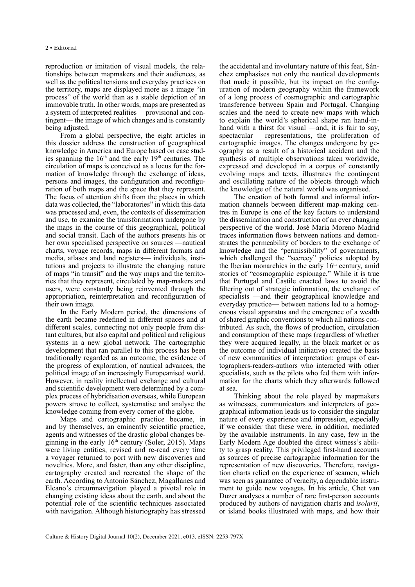reproduction or imitation of visual models, the relationships between mapmakers and their audiences, as well as the political tensions and everyday practices on the territory, maps are displayed more as a image "in process" of the world than as a stable depiction of an immovable truth. In other words, maps are presented as a system of interpreted realities —provisional and contingent— the image of which changes and is constantly being adjusted.

From a global perspective, the eight articles in this dossier address the construction of geographical knowledge in America and Europe based on case studies spanning the  $16<sup>th</sup>$  and the early  $19<sup>th</sup>$  centuries. The circulation of maps is conceived as a locus for the formation of knowledge through the exchange of ideas, persons and images, the configuration and reconfiguration of both maps and the space that they represent. The focus of attention shifts from the places in which data was collected, the "laboratories" in which this data was processed and, even, the contexts of dissemination and use, to examine the transformations undergone by the maps in the course of this geographical, political and social transit. Each of the authors presents his or her own specialised perspective on sources —nautical charts, voyage records, maps in different formats and media, atlases and land registers— individuals, institutions and projects to illustrate the changing nature of maps "in transit" and the way maps and the territories that they represent, circulated by map-makers and users, were constantly being reinvented through the appropriation, reinterpretation and reconfiguration of their own image.

In the Early Modern period, the dimensions of the earth became redefined in different spaces and at different scales, connecting not only people from distant cultures, but also capital and political and religious systems in a new global network. The cartographic development that ran parallel to this process has been traditionally regarded as an outcome, the evidence of the progress of exploration, of nautical advances, the political image of an increasingly Europeanised world. However, in reality intellectual exchange and cultural and scientific development were determined by a complex process of hybridisation overseas, while European powers strove to collect, systematise and analyse the knowledge coming from every corner of the globe.

Maps and cartographic practice became, in and by themselves, an eminently scientific practice, agents and witnesses of the drastic global changes beginning in the early  $16<sup>th</sup>$  century (Soler, 2015). Maps were living entities, revised and re-read every time a voyager returned to port with new discoveries and novelties. More, and faster, than any other discipline, cartography created and recreated the shape of the earth. According to Antonio Sánchez, Magallanes and Elcano's circumnavigation played a pivotal role in changing existing ideas about the earth, and about the potential role of the scientific techniques associated with navigation. Although historiography has stressed

the accidental and involuntary nature of this feat, Sánchez emphasises not only the nautical developments that made it possible, but its impact on the configuration of modern geography within the framework of a long process of cosmographic and cartographic transference between Spain and Portugal. Changing scales and the need to create new maps with which to explain the world's spherical shape ran hand-inhand with a thirst for visual —and, it is fair to say, spectacular— representations, the proliferation of cartographic images. The changes undergone by geography as a result of a historical accident and the synthesis of multiple observations taken worldwide, expressed and developed in a corpus of constantly evolving maps and texts, illustrates the contingent and oscillating nature of the objects through which the knowledge of the natural world was organised.

The creation of both formal and informal information channels between different map-making centres in Europe is one of the key factors to understand the dissemination and construction of an ever changing perspective of the world. José María Moreno Madrid traces information flows between nations and demonstrates the permeability of borders to the exchange of knowledge and the "permissibility" of governments, which challenged the "secrecy" policies adopted by the Iberian monarchies in the early  $16<sup>th</sup>$  century, amid stories of "cosmographic espionage." While it is true that Portugal and Castile enacted laws to avoid the filtering out of strategic information, the exchange of specialists —and their geographical knowledge and everyday practice— between nations led to a homogenous visual apparatus and the emergence of a wealth of shared graphic conventions to which all nations contributed. As such, the flows of production, circulation and consumption of these maps (regardless of whether they were acquired legally, in the black market or as the outcome of individual initiative) created the basis of new communities of interpretation: groups of cartographers-readers-authors who interacted with other specialists, such as the pilots who fed them with information for the charts which they afterwards followed at sea.

Thinking about the role played by mapmakers as witnesses, communicators and interpreters of geographical information leads us to consider the singular nature of every experience and impression, especially if we consider that these were, in addition, mediated by the available instruments. In any case, few in the Early Modern Age doubted the direct witness's ability to grasp reality. This privileged first-hand accounts as sources of precise cartographic information for the representation of new discoveries. Therefore, navigation charts relied on the experience of seamen, which was seen as guarantee of veracity, a dependable instrument to guide new voyages. In his article, Chet van Duzer analyses a number of rare first-person accounts produced by authors of navigation charts and *isolarii*, or island books illustrated with maps, and how their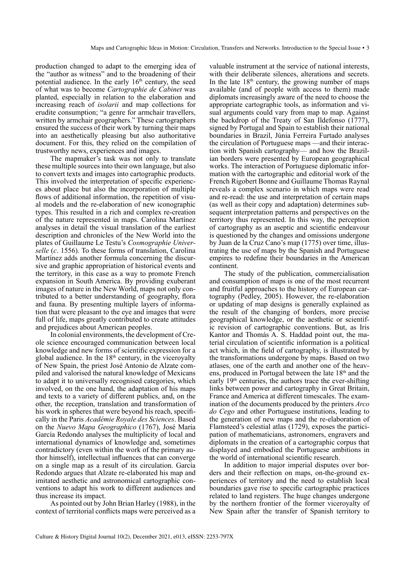production changed to adapt to the emerging idea of the "author as witness" and to the broadening of their potential audience. In the early  $16<sup>th</sup>$  century, the seed of what was to become *Cartographie de Cabinet* was planted, especially in relation to the elaboration and increasing reach of *isolarii* and map collections for erudite consumption; "a genre for armchair travellers, written by armchair geographers." These cartographers ensured the success of their work by turning their maps into an aesthetically pleasing but also authoritative document. For this, they relied on the compilation of trustworthy news, experiences and images.

The mapmaker's task was not only to translate these multiple sources into their own language, but also to convert texts and images into cartographic products. This involved the interpretation of specific experiences about place but also the incorporation of multiple flows of additional information, the repetition of visual models and the re-elaboration of new iconographic types. This resulted in a rich and complex re-creation of the nature represented in maps. Carolina Martínez analyses in detail the visual translation of the earliest description and chronicles of the New World into the plates of Guillaume Le Testu's *Cosmographie Universelle* (*c*. 1556). To these forms of translation, Carolina Martínez adds another formula concerning the discursive and graphic appropriation of historical events and the territory, in this case as a way to promote French expansion in South America. By providing exuberant images of nature in the New World, maps not only contributed to a better understanding of geography, flora and fauna. By presenting multiple layers of information that were pleasant to the eye and images that were full of life, maps greatly contributed to create attitudes and prejudices about American peoples.

In colonial environments, the development of Creole science encouraged communication between local knowledge and new forms of scientific expression for a global audience. In the  $18<sup>th</sup>$  century, in the viceroyalty of New Spain, the priest José Antonio de Alzate compiled and valorised the natural knowledge of Mexicans to adapt it to universally recognised categories, which involved, on the one hand, the adaptation of his maps and texts to a variety of different publics, and, on the other, the reception, translation and transformation of his work in spheres that were beyond his reach, specifically in the Paris *Académie Royale des Sciences*. Based on the *Nuevo Mapa Geographico* (1767), José María García Redondo analyses the multiplicity of local and international dynamics of knowledge and, sometimes contradictory (even within the work of the primary author himself), intellectual influences that can converge on a single map as a result of its circulation. García Redondo argues that Alzate re-elaborated his map and imitated aesthetic and astronomical cartographic conventions to adapt his work to different audiences and thus increase its impact.

As pointed out by John Brian Harley (1988), in the context of territorial conflicts maps were perceived as a

valuable instrument at the service of national interests, with their deliberate silences, alterations and secrets. In the late  $18<sup>th</sup>$  century, the growing number of maps available (and of people with access to them) made diplomats increasingly aware of the need to choose the appropriate cartographic tools, as information and visual arguments could vary from map to map. Against the backdrop of the Treaty of San Ildefonso (1777), signed by Portugal and Spain to establish their national boundaries in Brazil, Júnia Ferreira Furtado analyses the circulation of Portuguese maps —and their interaction with Spanish cartography— and how the Brazilian borders were presented by European geographical works. The interaction of Portuguese diplomatic information with the cartographic and editorial work of the French Rigobert Bonne and Guillaume Thomas Raynal reveals a complex scenario in which maps were read and re-read: the use and interpretation of certain maps (as well as their copy and adaptation) determines subsequent interpretation patterns and perspectives on the territory thus represented. In this way, the perception of cartography as an aseptic and scientific endeavour is questioned by the changes and omissions undergone by Juan de la Cruz Cano's map (1775) over time, illustrating the use of maps by the Spanish and Portuguese empires to redefine their boundaries in the American continent.

The study of the publication, commercialisation and consumption of maps is one of the most recurrent and fruitful approaches to the history of European cartography (Pedley, 2005). However, the re-elaboration or updating of map designs is generally explained as the result of the changing of borders, more precise geographical knowledge, or the aesthetic or scientific revision of cartographic conventions. But, as Iris Kantor and Thomás A. S. Haddad point out, the material circulation of scientific information is a political act which, in the field of cartography, is illustrated by the transformations undergone by maps. Based on two atlases, one of the earth and another one of the heavens, produced in Portugal between the late  $18<sup>th</sup>$  and the early  $19<sup>th</sup>$  centuries, the authors trace the ever-shifting links between power and cartography in Great Britain, France and America at different timescales. The examination of the documents produced by the printers *Arco do Cego* and other Portuguese institutions, leading to the generation of new maps and the re-elaboration of Flamsteed's celestial atlas (1729), exposes the participation of mathematicians, astronomers, engravers and diplomats in the creation of a cartographic corpus that displayed and embodied the Portuguese ambitions in the world of international scientific research.

In addition to major imperial disputes over borders and their reflection on maps, on-the-ground experiences of territory and the need to establish local boundaries gave rise to specific cartographic practices related to land registers. The huge changes undergone by the northern frontier of the former viceroyalty of New Spain after the transfer of Spanish territory to